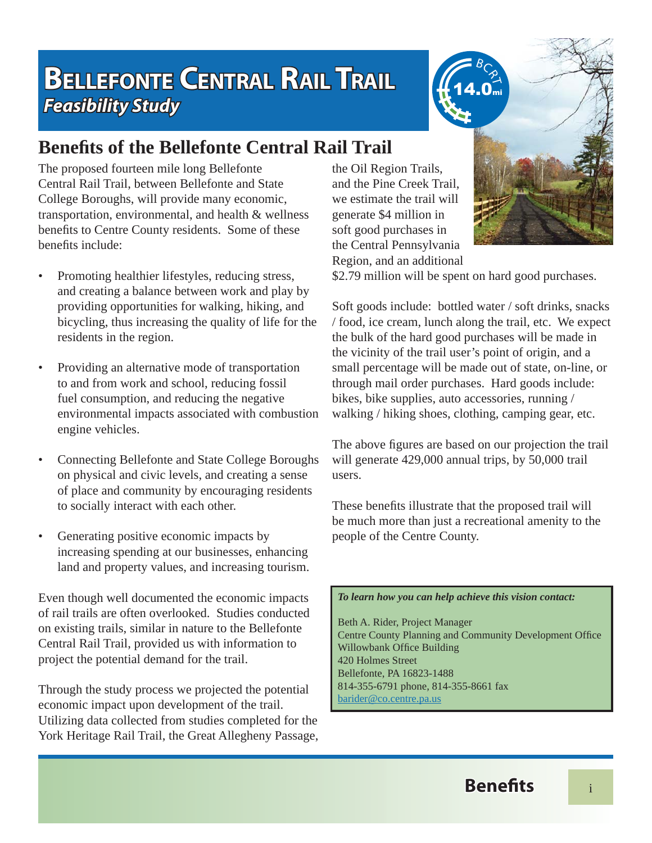## **BELLEFONTE CENTRAL RAIL TRAIL Feasibility Study**

## **Benefi ts of the Bellefonte Central Rail Trail**

The proposed fourteen mile long Bellefonte Central Rail Trail, between Bellefonte and State College Boroughs, will provide many economic, transportation, environmental, and health & wellness benefits to Centre County residents. Some of these benefits include:

- Promoting healthier lifestyles, reducing stress, and creating a balance between work and play by providing opportunities for walking, hiking, and bicycling, thus increasing the quality of life for the residents in the region.
- Providing an alternative mode of transportation to and from work and school, reducing fossil fuel consumption, and reducing the negative environmental impacts associated with combustion engine vehicles.
- Connecting Bellefonte and State College Boroughs on physical and civic levels, and creating a sense of place and community by encouraging residents to socially interact with each other.
- Generating positive economic impacts by increasing spending at our businesses, enhancing land and property values, and increasing tourism.

Even though well documented the economic impacts of rail trails are often overlooked. Studies conducted on existing trails, similar in nature to the Bellefonte Central Rail Trail, provided us with information to project the potential demand for the trail.

Through the study process we projected the potential economic impact upon development of the trail. Utilizing data collected from studies completed for the York Heritage Rail Trail, the Great Allegheny Passage, the Oil Region Trails, and the Pine Creek Trail, we estimate the trail will generate \$4 million in soft good purchases in the Central Pennsylvania Region, and an additional



\$2.79 million will be spent on hard good purchases.

Soft goods include: bottled water / soft drinks, snacks / food, ice cream, lunch along the trail, etc. We expect the bulk of the hard good purchases will be made in the vicinity of the trail user's point of origin, and a small percentage will be made out of state, on-line, or through mail order purchases. Hard goods include: bikes, bike supplies, auto accessories, running / walking / hiking shoes, clothing, camping gear, etc.

The above figures are based on our projection the trail will generate 429,000 annual trips, by 50,000 trail users.

These benefits illustrate that the proposed trail will be much more than just a recreational amenity to the people of the Centre County.

## *To learn how you can help achieve this vision contact:*

Beth A. Rider, Project Manager Centre County Planning and Community Development Office Willowbank Office Building 420 Holmes Street Bellefonte, PA 16823-1488 814-355-6791 phone, 814-355-8661 fax barider@co.centre.pa.us